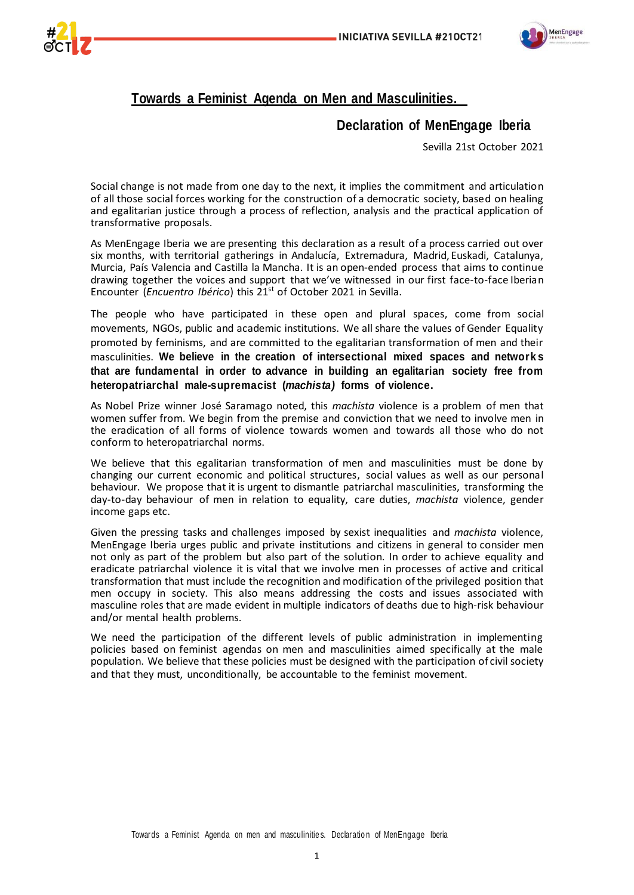



# **Towards a Feminist Agenda on Men and Masculinities.**

## **Declaration of MenEngage Iberia**

Sevilla 21st October 2021

Social change is not made from one day to the next, it implies the commitment and articulation of all those social forces working for the construction of a democratic society, based on healing and egalitarian justice through a process of reflection, analysis and the practical application of transformative proposals.

As MenEngage Iberia we are presenting this declaration as a result of a process carried out over six months, with territorial gatherings in Andalucía, Extremadura, Madrid, Euskadi, Catalunya, Murcia, País Valencia and Castilla la Mancha. It is an open-ended process that aims to continue drawing together the voices and support that we've witnessed in our first face-to-face Iberian Encounter (*Encuentro Ibérico*) this 21<sup>st</sup> of October 2021 in Sevilla.

The people who have participated in these open and plural spaces, come from social movements, NGOs, public and academic institutions. We all share the values of Gender Equality promoted by feminisms, and are committed to the egalitarian transformation of men and their masculinities. **We believe in the creation of intersectional mixed spaces and network s that are fundamental in order to advance in building an egalitarian society free from heteropatriarchal male-supremacist (***machista)* **forms of violence.**

As Nobel Prize winner José Saramago noted, this *machista* violence is a problem of men that women suffer from. We begin from the premise and conviction that we need to involve men in the eradication of all forms of violence towards women and towards all those who do not conform to heteropatriarchal norms.

We believe that this egalitarian transformation of men and masculinities must be done by changing our current economic and political structures, social values as well as our personal behaviour. We propose that it is urgent to dismantle patriarchal masculinities, transforming the day-to-day behaviour of men in relation to equality, care duties, *machista* violence, gender income gaps etc.

Given the pressing tasks and challenges imposed by sexist inequalities and *machista* violence, MenEngage Iberia urges public and private institutions and citizens in general to consider men not only as part of the problem but also part of the solution. In order to achieve equality and eradicate patriarchal violence it is vital that we involve men in processes of active and critical transformation that must include the recognition and modification of the privileged position that men occupy in society. This also means addressing the costs and issues associated with masculine roles that are made evident in multiple indicators of deaths due to high-risk behaviour and/or mental health problems.

We need the participation of the different levels of public administration in implementing policies based on feminist agendas on men and masculinities aimed specifically at the male population. We believe that these policies must be designed with the participation of civil society and that they must, unconditionally, be accountable to the feminist movement.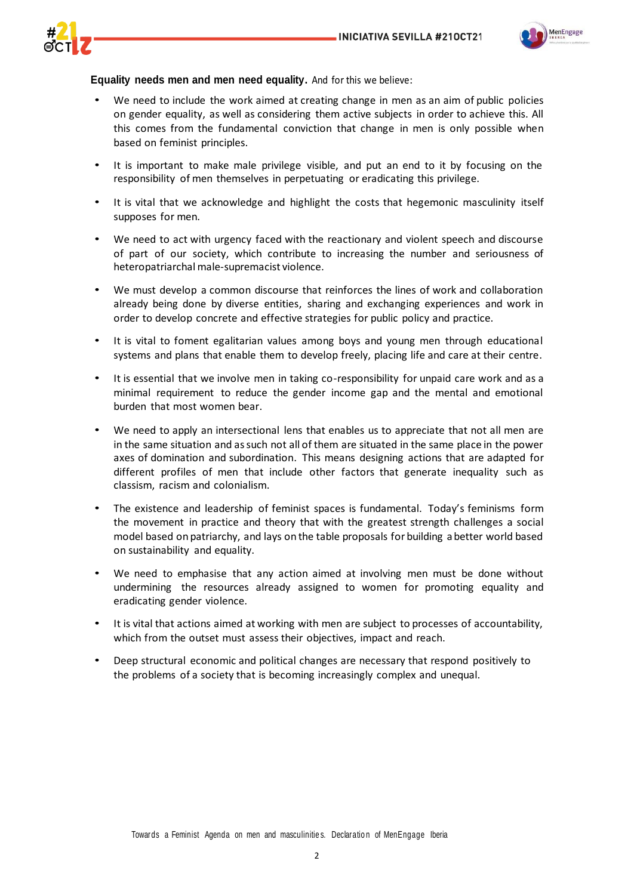

## **Equality needs men and men need equality.** And for this we believe:

- We need to include the work aimed at creating change in men as an aim of public policies on gender equality, as well as considering them active subjects in order to achieve this. All this comes from the fundamental conviction that change in men is only possible when based on feminist principles.
- It is important to make male privilege visible, and put an end to it by focusing on the responsibility of men themselves in perpetuating or eradicating this privilege.
- It is vital that we acknowledge and highlight the costs that hegemonic masculinity itself supposes for men.
- We need to act with urgency faced with the reactionary and violent speech and discourse of part of our society, which contribute to increasing the number and seriousness of heteropatriarchal male-supremacist violence.
- We must develop a common discourse that reinforces the lines of work and collaboration already being done by diverse entities, sharing and exchanging experiences and work in order to develop concrete and effective strategies for public policy and practice.
- It is vital to foment egalitarian values among boys and young men through educational systems and plans that enable them to develop freely, placing life and care at their centre.
- It is essential that we involve men in taking co-responsibility for unpaid care work and as a minimal requirement to reduce the gender income gap and the mental and emotional burden that most women bear.
- We need to apply an intersectional lens that enables us to appreciate that not all men are in the same situation and as such not all of them are situated in the same place in the power axes of domination and subordination. This means designing actions that are adapted for different profiles of men that include other factors that generate inequality such as classism, racism and colonialism.
- The existence and leadership of feminist spaces is fundamental. Today's feminisms form the movement in practice and theory that with the greatest strength challenges a social model based on patriarchy, and lays on the table proposals for building a better world based on sustainability and equality.
- We need to emphasise that any action aimed at involving men must be done without undermining the resources already assigned to women for promoting equality and eradicating gender violence.
- It is vital that actions aimed at working with men are subject to processes of accountability, which from the outset must assess their objectives, impact and reach.
- Deep structural economic and political changes are necessary that respond positively to the problems of a society that is becoming increasingly complex and unequal.